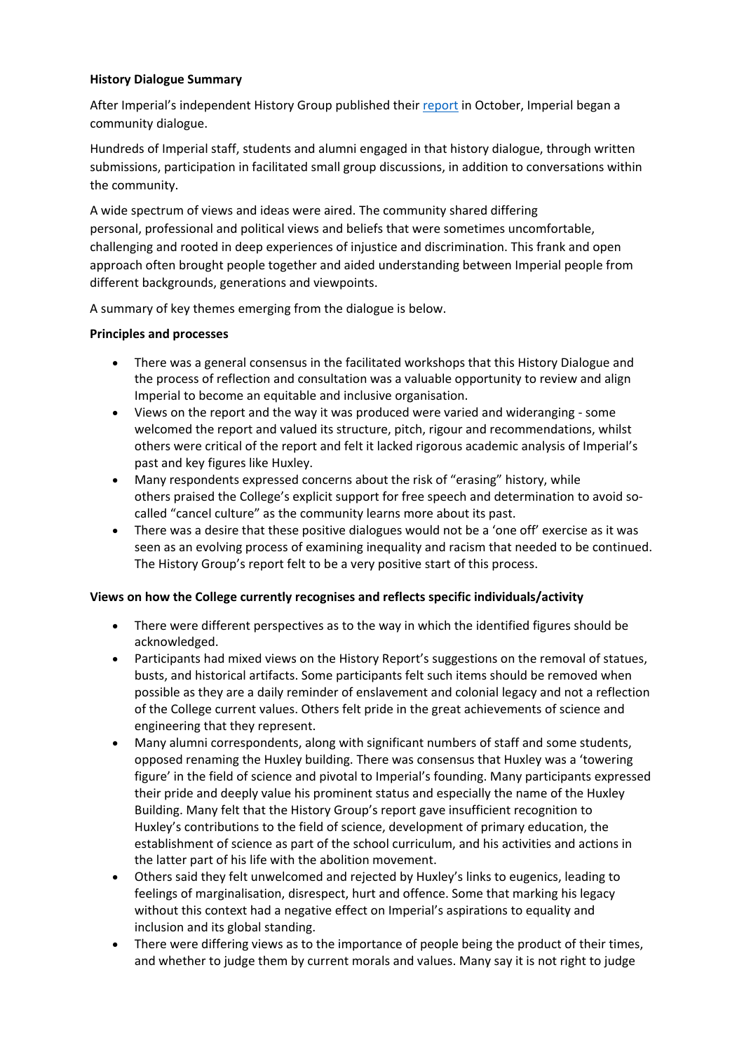# **History Dialogue Summary**

After Imperial's independent History Group published their [report](https://www.imperial.ac.uk/media/imperial-college/administration-and-support-services/equality/public/history-group/History-Group-Report-2021---Version-2.pdf) in October, Imperial began a community dialogue.

Hundreds of Imperial staff, students and alumni engaged in that history dialogue, through written submissions, participation in facilitated small group discussions, in addition to conversations within the community.

A wide spectrum of views and ideas were aired. The community shared differing personal, professional and political views and beliefs that were sometimes uncomfortable, challenging and rooted in deep experiences of injustice and discrimination. This frank and open approach often brought people together and aided understanding between Imperial people from different backgrounds, generations and viewpoints.

A summary of key themes emerging from the dialogue is below.

## **Principles and processes**

- There was a general consensus in the facilitated workshops that this History Dialogue and the process of reflection and consultation was a valuable opportunity to review and align Imperial to become an equitable and inclusive organisation.
- Views on the report and the way it was produced were varied and wideranging some welcomed the report and valued its structure, pitch, rigour and recommendations, whilst others were critical of the report and felt it lacked rigorous academic analysis of Imperial's past and key figures like Huxley.
- Many respondents expressed concerns about the risk of "erasing" history, while others praised the College's explicit support for free speech and determination to avoid socalled "cancel culture" as the community learns more about its past.
- There was a desire that these positive dialogues would not be a 'one off' exercise as it was seen as an evolving process of examining inequality and racism that needed to be continued. The History Group's report felt to be a very positive start of this process.

# **Views on how the College currently recognises and reflects specific individuals/activity**

- There were different perspectives as to the way in which the identified figures should be acknowledged.
- Participants had mixed views on the History Report's suggestions on the removal of statues, busts, and historical artifacts. Some participants felt such items should be removed when possible as they are a daily reminder of enslavement and colonial legacy and not a reflection of the College current values. Others felt pride in the great achievements of science and engineering that they represent.
- Many alumni correspondents, along with significant numbers of staff and some students, opposed renaming the Huxley building. There was consensus that Huxley was a 'towering figure' in the field of science and pivotal to Imperial's founding. Many participants expressed their pride and deeply value his prominent status and especially the name of the Huxley Building. Many felt that the History Group's report gave insufficient recognition to Huxley's contributions to the field of science, development of primary education, the establishment of science as part of the school curriculum, and his activities and actions in the latter part of his life with the abolition movement.
- Others said they felt unwelcomed and rejected by Huxley's links to eugenics, leading to feelings of marginalisation, disrespect, hurt and offence. Some that marking his legacy without this context had a negative effect on Imperial's aspirations to equality and inclusion and its global standing.
- There were differing views as to the importance of people being the product of their times, and whether to judge them by current morals and values. Many say it is not right to judge